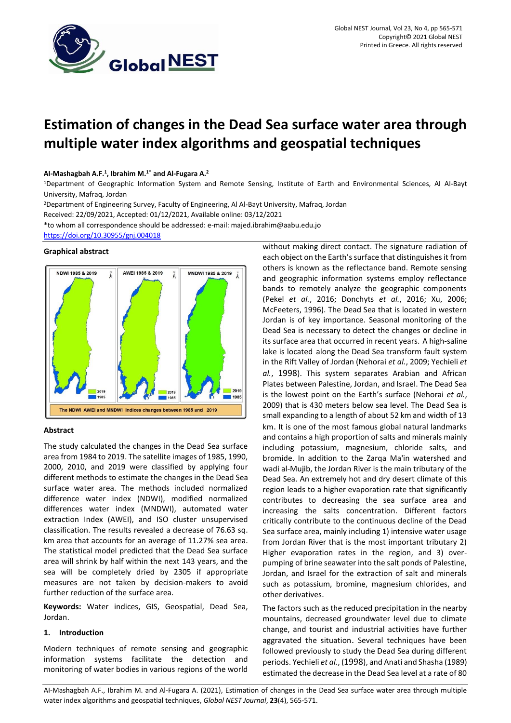

# **Estimation of changes in the Dead Sea surface water area through multiple water index algorithms and geospatial techniques**

# **AI-Mashagbah A.F.<sup>1</sup> , Ibrahim M.1\* and Al-Fugara A.<sup>2</sup>**

<sup>1</sup>Department of Geographic Information System and Remote Sensing, Institute of Earth and Environmental Sciences, Al Al-Bayt University, Mafraq, Jordan

<sup>2</sup>Department of Engineering Survey, Faculty of Engineering, Al Al-Bayt University, Mafraq, Jordan

Received: 22/09/2021, Accepted: 01/12/2021, Available online: 03/12/2021

\*to whom all correspondence should be addressed: e-mail[: majed.ibrahim@aabu.edu.jo](mailto:majed.ibrahim@aabu.edu.jo)

<https://doi.org/10.30955/gnj.004018>

## **Graphical abstract**



## **Abstract**

The study calculated the changes in the Dead Sea surface area from 1984 to 2019. The satellite images of 1985, 1990, 2000, 2010, and 2019 were classified by applying four different methods to estimate the changes in the Dead Sea surface water area. The methods included normalized difference water index (NDWI), modified normalized differences water index (MNDWI), automated water extraction Index (AWEI), and ISO cluster unsupervised classification. The results revealed a decrease of 76.63 sq. km area that accounts for an average of 11.27% sea area. The statistical model predicted that the Dead Sea surface area will shrink by half within the next 143 years, and the sea will be completely dried by 2305 if appropriate measures are not taken by decision-makers to avoid further reduction of the surface area.

**Keywords:** Water indices, GIS, Geospatial, Dead Sea, Jordan.

# **1. Introduction**

Modern techniques of remote sensing and geographic information systems facilitate the detection and monitoring of water bodies in various regions of the world without making direct contact. The signature radiation of each object on the Earth's surface that distinguishes it from others is known as the reflectance band. Remote sensing and geographic information systems employ reflectance bands to remotely analyze the geographic components (Pekel *et al.*, 2016; Donchyts *et al.*, 2016; Xu, 2006; McFeeters, 1996). The Dead Sea that is located in western Jordan is of key importance. Seasonal monitoring of the Dead Sea is necessary to detect the changes or decline in its surface area that occurred in recent years. A high-saline lake is located along the [Dead Sea transform](https://en.wikipedia.org/wiki/Dead_Sea_Transform) fault system in the Rift Valley of Jordan (Nehorai *et al.*, 2009; Yechieli *et al.*, 1998). This system separates Arabian and African Plates between Palestine, Jordan, and Israel. The Dead Sea is the lowest point on the Earth's surface (Nehorai *et al.*, 2009) that is 430 meters below sea level. The Dead Sea is small expanding to a length of about 52 km and width of 13 km. It is one of the most famous global natural landmarks and contains a high proportion of salts and minerals mainly including potassium, magnesium, chloride salts, and bromide. In addition to the Zarqa Ma'in watershed and wadi al-Mujib, the Jordan River is the main tributary of the Dead Sea. An extremely hot and dry desert climate of this region leads to a higher evaporation rate that significantly contributes to decreasing the sea surface area and increasing the salts concentration. Different factors critically contribute to the continuous decline of the Dead Sea surface area, mainly including 1) intensive water usage from Jordan River that is the most important tributary 2) Higher evaporation rates in the region, and 3) overpumping of brine seawater into the salt ponds of Palestine, Jordan, and Israel for the extraction of salt and minerals such as potassium, bromine, magnesium chlorides, and other derivatives.

The factors such as the reduced precipitation in the nearby mountains, decreased groundwater level due to climate change, and tourist and industrial activities have further aggravated the situation. Several techniques have been followed previously to study the Dead Sea during different periods. Yechieli *et al.*, (1998), and Anati and Shasha (1989) estimated the decrease in the Dead Sea level at a rate of 80

AI-Mashagbah A.F., Ibrahim M. and Al-Fugara A. (2021), Estimation of changes in the Dead Sea surface water area through multiple water index algorithms and geospatial techniques, *Global NEST Journal*, **23**(4), 565-571.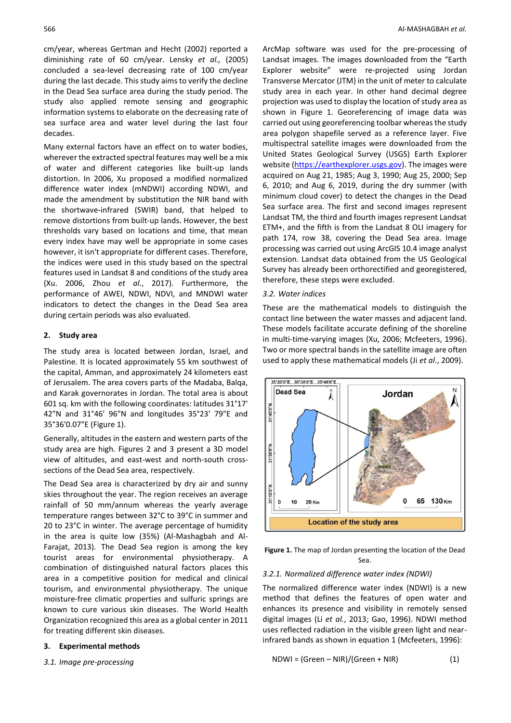cm/year, whereas Gertman and Hecht (2002) reported a diminishing rate of 60 cm/year. Lensky *et al.,* (2005) concluded a sea-level decreasing rate of 100 cm/year during the last decade. This study aims to verify the decline in the Dead Sea surface area during the study period. The study also applied remote sensing and geographic information systems to elaborate on the decreasing rate of sea surface area and water level during the last four decades.

Many external factors have an effect on to water bodies, wherever the extracted spectral features may well be a mix of water and different categories like built-up lands distortion. In 2006, Xu proposed a modified normalized difference water index (mNDWI) according NDWI, and made the amendment by substitution the NIR band with the shortwave-infrared (SWIR) band, that helped to remove distortions from built-up lands. However, the best thresholds vary based on locations and time, that mean every index have may well be appropriate in some cases however, it isn't appropriate for different cases. Therefore, the indices were used in this study based on the spectral features used in Landsat 8 and conditions of the study area (Xu. 2006, Zhou *et al.*, 2017). Furthermore, the performance of AWEI, NDWI, NDVI, and MNDWI water indicators to detect the changes in the Dead Sea area during certain periods was also evaluated.

# **2. Study area**

The study area is located between Jordan, Israel, and Palestine. It is located approximately 55 km southwest of the capital, Amman, and approximately 24 kilometers east of Jerusalem. The area covers parts of the Madaba, Balqa, and Karak governorates in Jordan. The total area is about 601 sq. km with the following coordinates: latitudes 31°17' 42"N and 31°46' 96"N and longitudes 35°23' 79"E and 35°36'0.07"E (Figure 1).

Generally, altitudes in the eastern and western parts of the study area are high. Figures 2 and 3 present a 3D model view of altitudes, and east-west and north-south crosssections of the Dead Sea area, respectively.

The Dead Sea area is characterized by dry air and sunny skies throughout the year. The region receives an average rainfall of 50 mm/annum whereas the yearly average temperature ranges between 32°C to 39°C in summer and 20 to 23°C in winter. The average percentage of humidity in the area is quite low (35%) (Al‐Mashagbah and Al‐ Farajat, 2013). The Dead Sea region is among the key tourist areas for environmental physiotherapy. A combination of distinguished natural factors places this area in a competitive position for medical and clinical tourism, and environmental physiotherapy. The unique moisture-free climatic properties and sulfuric springs are known to cure various skin diseases. The World Health Organization recognized this area as a global center in 2011 for treating different skin diseases.

#### **3. Experimental methods**

*3.1. Image pre-processing*

ArcMap software was used for the pre-processing of Landsat images. The images downloaded from the "Earth Explorer website" were re-projected using Jordan Transverse Mercator (JTM) in the unit of meter to calculate study area in each year. In other hand decimal degree projection was used to display the location of study area as shown in Figure 1. Georeferencing of image data was carried out using georeferencing toolbar whereas the study area polygon shapefile served as a reference layer. Five multispectral satellite images were downloaded from the United States Geological Survey (USGS) Earth Explorer website [\(https://earthexplorer.usgs.gov\)](https://earthexplorer.usgs.gov/). The images were acquired on Aug 21, 1985; Aug 3, 1990; Aug 25, 2000; Sep 6, 2010; and Aug 6, 2019, during the dry summer (with minimum cloud cover) to detect the changes in the Dead Sea surface area. The first and second images represent Landsat TM, the third and fourth images represent Landsat ETM+, and the fifth is from the Landsat 8 OLI imagery for path 174, row 38, covering the Dead Sea area. Image processing was carried out using ArcGIS 10.4 image analyst extension. Landsat data obtained from the US Geological Survey has already been orthorectified and georegistered, therefore, these steps were excluded.

#### *3.2. Water indices*

These are the mathematical models to distinguish the contact line between the water masses and adjacent land. These models facilitate accurate defining of the shoreline in multi-time-varying images (Xu, 2006; Mcfeeters, 1996). Two or more spectral bands in the satellite image are often used to apply these mathematical models (Ji *et al.*, [2009\)](https://www.tandfonline.com/doi/full/10.1080/19475683.2017.1340339).



**Figure 1.** The map of Jordan presenting the location of the Dead Sea.

## *3.2.1. Normalized difference water index (NDWI)*

The normalized difference water index (NDWI) is a new method that defines the features of open water and enhances its presence and visibility in remotely sensed digital images (Li *et al.*, 2013; Gao, 1996). NDWI method uses reflected radiation in the visible green light and nearinfrared bands as shown in equation 1 (Mcfeeters, 1996):

$$
NDWI = (Green - NIR)/(Green + NIR)
$$
 (1)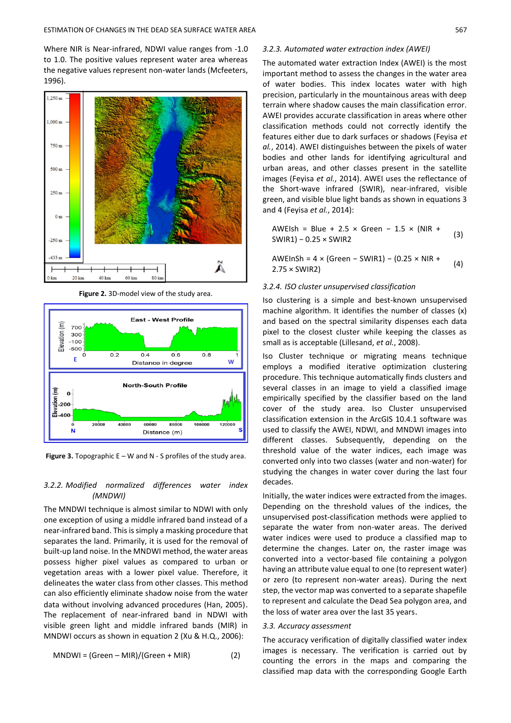Where NIR is Near-infrared, NDWI value ranges from -1.0 to 1.0. The positive values represent water area whereas the negative values represent non-water lands (Mcfeeters, 1996).



**Figure 2.** 3D-model view of the study area.



**Figure 3.** Topographic E – W and N - S profiles of the study area.

## *3.2.2. Modified normalized differences water index (MNDWI)*

The MNDWI technique is almost similar to NDWI with only one exception of using a middle infrared band instead of a near-infrared band. This is simply a masking procedure that separates the land. Primarily, it is used for the removal of built-up land noise. In the MNDWI method, the water areas possess higher pixel values as compared to urban or vegetation areas with a lower pixel value. Therefore, it delineates the water class from other classes. This method can also efficiently eliminate shadow noise from the water data without involving advanced procedures (Han, 2005). The replacement of near-infrared band in NDWI with visible green light and middle infrared bands (MIR) in MNDWI occurs as shown in equation 2 (Xu & H.Q., 2006):

$$
MNDWI = (Green - MIR)/(Green + MIR)
$$
 (2)

*3.2.3. Automated water extraction index (AWEI)*

The automated water extraction Index (AWEI) is the most important method to assess the changes in the water area of water bodies. This index locates water with high precision, particularly in the mountainous areas with deep terrain where shadow causes the main classification error. AWEI provides accurate classification in areas where other classification methods could not correctly identify the features either due to dark surfaces or shadows (Feyisa *et al.*, 2014). AWEI distinguishes between the pixels of water bodies and other lands for identifying agricultural and urban areas, and other classes present in the satellite images (Feyisa *et al.*, 2014). AWEI uses the reflectance of the Short-wave infrared (SWIR), near-infrared, visible green, and visible blue light bands as shown in equations 3 and 4 (Feyisa *et al.*, 2014):

$$
AWElsh = Blue + 2.5 \times Green - 1.5 \times (NIR +SWIR1) - 0.25 \times SWIR2
$$
 (3)

AWEInSh = 4 × (Green − SWIR1) − (0.25 × NIR + 2.75 × SWIR2) (4)

# *3.2.4. ISO cluster unsupervised classification*

Iso clustering is a simple and best-known unsupervised machine algorithm. It identifies the number of classes (x) and based on the spectral similarity dispenses each data pixel to the closest cluster while keeping the classes as small as is acceptable (Lillesand, *et al.*, 2008).

Iso Cluster technique or migrating means technique employs a modified iterative optimization clustering procedure. This technique automatically finds clusters and several classes in an image to yield a classified image empirically specified by the classifier based on the land cover of the study area. Iso Cluster unsupervised classification extension in the ArcGIS 10.4.1 software was used to classify the AWEI, NDWI, and MNDWI images into different classes. Subsequently, depending on the threshold value of the water indices, each image was converted only into two classes (water and non-water) for studying the changes in water cover during the last four decades.

Initially, the water indices were extracted from the images. Depending on the threshold values of the indices, the unsupervised post-classification methods were applied to separate the water from non-water areas. The derived water indices were used to produce a classified map to determine the changes. Later on, the raster image was converted into a vector-based file containing a polygon having an attribute value equal to one (to represent water) or zero (to represent non-water areas). During the next step, the vector map was converted to a separate shapefile to represent and calculate the Dead Sea polygon area, and the loss of water area over the last 35 years .

#### *3.3. Accuracy assessment*

The accuracy verification of digitally classified water index images is necessary. The verification is carried out by counting the errors in the maps and comparing the classified map data with the corresponding Google Earth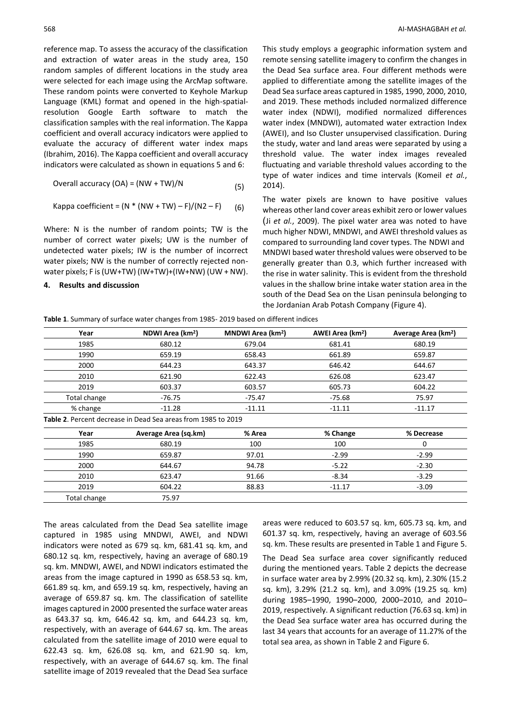reference map. To assess the accuracy of the classification and extraction of water areas in the study area, 150 random samples of different locations in the study area were selected for each image using the ArcMap software. These random points were converted to Keyhole Markup Language (KML) format and opened in the high-spatialresolution Google Earth software to match the classification samples with the real information. The Kappa coefficient and overall accuracy indicators were applied to evaluate the accuracy of different water index maps (Ibrahim, 2016). The Kappa coefficient and overall accuracy indicators were calculated as shown in equations 5 and 6:

Overall accuracy (OA) = (NW + TW)/N 
$$
(5)
$$

Kappa coefficient = 
$$
(N * (NW + TW) - F)/(N2 - F)
$$
 (6)

Where: N is the number of random points; TW is the number of correct water pixels; UW is the number of undetected water pixels; IW is the number of incorrect water pixels; NW is the number of correctly rejected nonwater pixels; F is (UW+TW) (IW+TW)+(IW+NW) (UW + NW).

# **4. Results and discussion**

This study employs a geographic information system and remote sensing satellite imagery to confirm the changes in the Dead Sea surface area. Four different methods were applied to differentiate among the satellite images of the Dead Sea surface areas captured in 1985, 1990, 2000, 2010, and 2019. These methods included normalized difference water index (NDWI), modified normalized differences water index (MNDWI), automated water extraction Index (AWEI), and Iso Cluster unsupervised classification. During the study, water and land areas were separated by using a threshold value. The water index images revealed fluctuating and variable threshold values according to the type of water indices and time intervals (Komeil *et al.*, 2014).

The water pixels are known to have positive values whereas other land cover areas exhibit zero or lower values (Ji *et al.*, [2009\)](https://www.tandfonline.com/doi/full/10.1080/19475683.2017.1340339). The pixel water area was noted to have much higher NDWI, MNDWI, and AWEI threshold values as compared to surrounding land cover types. The NDWI and MNDWI based water threshold values were observed to be generally greater than 0.3, which further increased with the rise in water salinity. This is evident from the threshold values in the shallow brine intake water station area in the south of the Dead Sea on the Lisan peninsula belonging to the Jordanian Arab Potash Company (Figure 4).

**Table 1**. Summary of surface water changes from 1985- 2019 based on different indices

| Year         | NDWI Area (km <sup>2</sup> )                                  | MNDWI Area (km <sup>2</sup> ) | AWEI Area (km <sup>2</sup> ) | Average Area (km <sup>2</sup> ) |  |
|--------------|---------------------------------------------------------------|-------------------------------|------------------------------|---------------------------------|--|
| 1985         | 680.12                                                        | 679.04                        | 681.41                       | 680.19                          |  |
| 1990         | 659.19                                                        | 658.43                        | 661.89                       | 659.87                          |  |
| 2000         | 644.23                                                        | 643.37                        | 646.42                       | 644.67                          |  |
| 2010         | 621.90                                                        | 622.43                        | 626.08                       | 623.47                          |  |
| 2019         | 603.37                                                        | 603.57                        | 605.73                       | 604.22                          |  |
| Total change | -76.75                                                        | $-75.68$<br>-75.47            |                              | 75.97                           |  |
| % change     | $-11.28$                                                      | $-11.11$                      | $-11.11$                     | $-11.17$                        |  |
|              | Table 2. Percent decrease in Dead Sea areas from 1985 to 2019 |                               |                              |                                 |  |
| Year         | Average Area (sq.km)                                          | % Area                        | % Change                     | % Decrease                      |  |
| 1985         | 680.19                                                        | 100                           | 100                          | 0                               |  |
| 1990         | 659.87                                                        | 97.01                         | $-2.99$                      | $-2.99$                         |  |
| 2000         | 644.67                                                        |                               | $-5.22$                      | $-2.30$                         |  |
| 2010         | 623.47                                                        | 91.66                         | $-8.34$                      | $-3.29$                         |  |
| 2019         | 604.22                                                        | 88.83                         | $-11.17$                     | $-3.09$                         |  |

The areas calculated from the Dead Sea satellite image captured in 1985 using MNDWI, AWEI, and NDWI indicators were noted as 679 sq. km, 681.41 sq. km, and 680.12 sq. km, respectively, having an average of 680.19 sq. km. MNDWI, AWEI, and NDWI indicators estimated the areas from the image captured in 1990 as 658.53 sq. km, 661.89 sq. km, and 659.19 sq. km, respectively, having an average of 659.87 sq. km. The classification of satellite images captured in 2000 presented the surface water areas as 643.37 sq. km, 646.42 sq. km, and 644.23 sq. km, respectively, with an average of 644.67 sq. km. The areas calculated from the satellite image of 2010 were equal to 622.43 sq. km, 626.08 sq. km, and 621.90 sq. km, respectively, with an average of 644.67 sq. km. The final satellite image of 2019 revealed that the Dead Sea surface

Total change 75.97

areas were reduced to 603.57 sq. km, 605.73 sq. km, and 601.37 sq. km, respectively, having an average of 603.56 sq. km. These results are presented in Table 1 and Figure 5.

The Dead Sea surface area cover significantly reduced during the mentioned years. Table 2 depicts the decrease in surface water area by 2.99% (20.32 sq. km), 2.30% (15.2 sq. km), 3.29% (21.2 sq. km), and 3.09% (19.25 sq. km) during 1985–1990, 1990–2000, 2000–2010, and 2010– 2019, respectively. A significant reduction (76.63 sq. km) in the Dead Sea surface water area has occurred during the last 34 years that accounts for an average of 11.27% of the total sea area, as shown in Table 2 and Figure 6.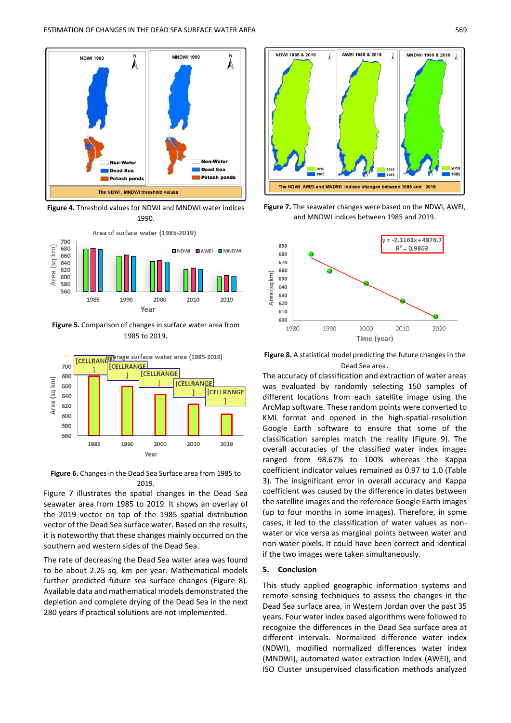

**Figure 4.** Threshold values for NDWI and MNDWI water indices 1990.



**Figure 5.** Comparison of changes in surface water area from 1985 to 2019.



**Figure 6.** Changes in the Dead Sea Surface area from 1985 to 2019.

Figure 7 illustrates the spatial changes in the Dead Sea seawater area from 1985 to 2019. It shows an overlay of the 2019 vector on top of the 1985 spatial distribution vector of the Dead Sea surface water. Based on the results, it is noteworthy that these changes mainly occurred on the southern and western sides of the Dead Sea.

The rate of decreasing the Dead Sea water area was found to be about 2.25 sq. km per year. Mathematical models further predicted future sea surface changes (Figure 8). Available data and mathematical models demonstrated the depletion and complete drying of the Dead Sea in the next 280 years if practical solutions are not implemented.



**Figure 7.** The seawater changes were based on the NDWI, AWEI, and MNDWI indices between 1985 and 2019.



**Figure 8.** A statistical model predicting the future changes in the Dead Sea area.

The accuracy of classification and extraction of water areas was evaluated by randomly selecting 150 samples of different locations from each satellite image using the ArcMap software. These random points were converted to KML format and opened in the high-spatial-resolution Google Earth software to ensure that some of the classification samples match the reality (Figure 9). The overall accuracies of the classified water index images ranged from 98.67% to 100% whereas the Kappa coefficient indicator values remained as 0.97 to 1.0 (Table 3). The insignificant error in overall accuracy and Kappa coefficient was caused by the difference in dates between the satellite images and the reference Google Earth images (up to four months in some images). Therefore, in some cases, it led to the classification of water values as nonwater or vice versa as marginal points between water and non-water pixels. It could have been correct and identical if the two images were taken simultaneously.

## **5. Conclusion**

This study applied geographic information systems and remote sensing techniques to assess the changes in the Dead Sea surface area, in Western Jordan over the past 35 years. Four water index based algorithms were followed to recognize the differences in the Dead Sea surface area at different intervals. Normalized difference water index (NDWI), modified normalized differences water index (MNDWI), automated water extraction Index (AWEI), and ISO Cluster unsupervised classification methods analyzed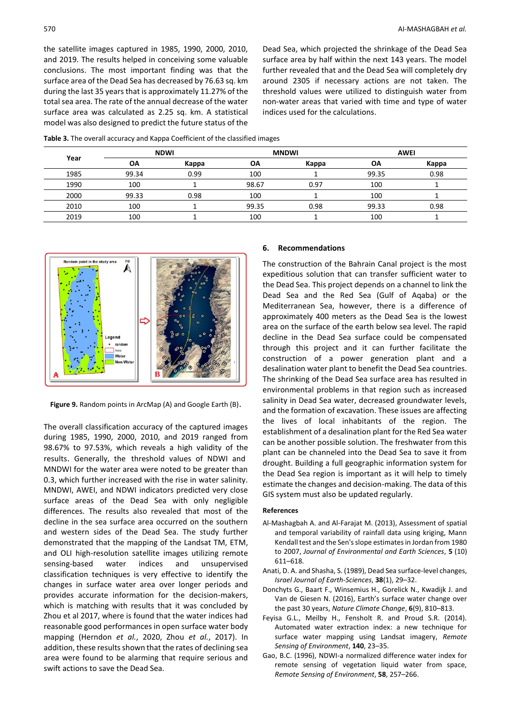the satellite images captured in 1985, 1990, 2000, 2010, and 2019. The results helped in conceiving some valuable conclusions. The most important finding was that the surface area of the Dead Sea has decreased by 76.63 sq. km during the last 35 years that is approximately 11.27% of the total sea area. The rate of the annual decrease of the water surface area was calculated as 2.25 sq. km. A statistical model was also designed to predict the future status of the Dead Sea, which projected the shrinkage of the Dead Sea surface area by half within the next 143 years. The model further revealed that and the Dead Sea will completely dry around 2305 if necessary actions are not taken. The threshold values were utilized to distinguish water from non-water areas that varied with time and type of water indices used for the calculations.

| <b>Table 3.</b> The overall accuracy and Kappa Coefficient of the classified images |
|-------------------------------------------------------------------------------------|
|-------------------------------------------------------------------------------------|

| Year | <b>NDWI</b> |       | <b>MNDWI</b> |       | <b>AWEI</b> |       |
|------|-------------|-------|--------------|-------|-------------|-------|
|      | ΟA          | Kappa | ΟA           | Kappa | <b>OA</b>   | Kappa |
| 1985 | 99.34       | 0.99  | 100          |       | 99.35       | 0.98  |
| 1990 | 100         |       | 98.67        | 0.97  | 100         |       |
| 2000 | 99.33       | 0.98  | 100          |       | 100         |       |
| 2010 | 100         |       | 99.35        | 0.98  | 99.33       | 0.98  |
| 2019 | 100         |       | 100          |       | 100         |       |



**Figure 9.** Random points in ArcMap (A) and Google Earth (B).

The overall classification accuracy of the captured images during 1985, 1990, 2000, 2010, and 2019 ranged from 98.67% to 97.53%, which reveals a high validity of the results. Generally, the threshold values of NDWI and MNDWI for the water area were noted to be greater than 0.3, which further increased with the rise in water salinity. MNDWI, AWEI, and NDWI indicators predicted very close surface areas of the Dead Sea with only negligible differences. The results also revealed that most of the decline in the sea surface area occurred on the southern and western sides of the Dead Sea. The study further demonstrated that the mapping of the Landsat TM, ETM, and OLI high-resolution satellite images utilizing remote sensing-based water indices and unsupervised classification techniques is very effective to identify the changes in surface water area over longer periods and provides accurate information for the decision-makers, which is matching with results that it was concluded by Zhou et al 2017, where is found that the water indices had reasonable good performances in open surface water body mapping (Herndon *et al.*, 2020, Zhou *et al.*, 2017). In addition, these results shown that the rates of declining sea area were found to be alarming that require serious and swift actions to save the Dead Sea.

#### **6. Recommendations**

The construction of the Bahrain Canal project is the most expeditious solution that can transfer sufficient water to the Dead Sea. This project depends on a channel to link the Dead Sea and the Red Sea (Gulf of Aqaba) or the Mediterranean Sea, however, there is a difference of approximately 400 meters as the Dead Sea is the lowest area on the surface of the earth below sea level. The rapid decline in the Dead Sea surface could be compensated through this project and it can further facilitate the construction of a power generation plant and a desalination water plant to benefit the Dead Sea countries. The shrinking of the Dead Sea surface area has resulted in environmental problems in that region such as increased salinity in Dead Sea water, decreased groundwater levels, and the formation of excavation. These issues are affecting the lives of local inhabitants of the region. The establishment of a desalination plant for the Red Sea water can be another possible solution. The freshwater from this plant can be channeled into the Dead Sea to save it from drought. Building a full geographic information system for the Dead Sea region is important as it will help to timely estimate the changes and decision-making. The data of this GIS system must also be updated regularly.

#### **References**

- Al-Mashagbah A. and Al-Farajat M. (2013), Assessment of spatial and temporal variability of rainfall data using kriging, Mann Kendall test and the Sen's slope estimates in Jordan from 1980 to 2007, *Journal of Environmental and Earth Sciences*, **5** (10) 611–618.
- Anati, D. A. and Shasha, S. (1989), Dead Sea surface-level changes, *Israel Journal of Earth-Sciences*, **38**(1), 29–32.
- Donchyts G., Baart F., Winsemius H., Gorelick N., Kwadijk J. and Van de Giesen N. (2016), Earth's surface water change over the past 30 years, *Nature Climate Change*, **6**(9), 810–813.
- Feyisa G.L., Meilby H., Fensholt R. and Proud S.R. (2014). Automated water extraction index: a new technique for surface water mapping using Landsat imagery, *Remote Sensing of Environment*, **140**, 23–35.
- Gao, B.C. (1996), NDWI-a normalized difference water index for remote sensing of vegetation liquid water from space, *Remote Sensing of Environment*, **58**, 257–266.